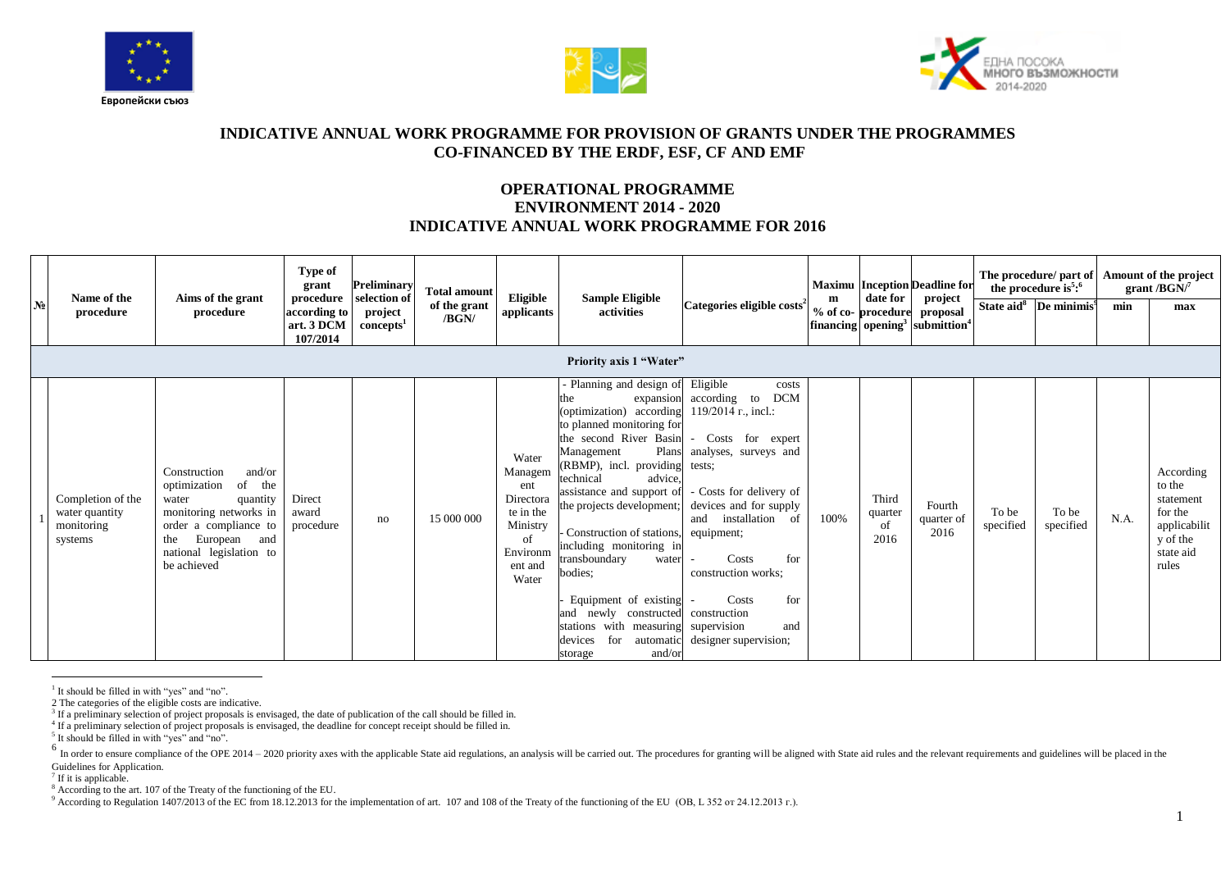





## **INDICATIVE ANNUAL WORK PROGRAMME FOR PROVISION OF GRANTS UNDER THE PROGRAMMES CO-FINANCED BY THE ERDF, ESF, CF AND EMF**

## **OPERATIONAL PROGRAMME ENVIRONMENT 2014 - 2020 INDICATIVE ANNUAL WORK PROGRAMME FOR 2016**

| N <sub>0</sub> | Name of the<br>procedure                                     | Aims of the grant<br>procedure                                                                                                                                                               | Type of<br>grant<br>procedure<br>according to<br>art. 3 DCM<br>107/2014 | Preliminary<br>selection of<br>project<br>concepts <sup>1</sup> | <b>Total amount</b><br>of the grant<br>/BGN/ | Eligible<br>applicants                                                                              | <b>Sample Eligible</b><br>activities<br>Priority axis 1 "Water"                                                                                                                                                                                                                                                                                                                                                                                                                                                                            | Categories eligible costs <sup>2</sup>                                                                                                                                                                                                                                                  | m    | date for<br>% of co-procedure  | <b>Maximu</b> Inception Deadline for<br>project<br>proposal<br>financing opening <sup>3</sup> submittion <sup>4</sup> |                    | The procedure/ part of<br>the procedure is <sup>5</sup> : $6$<br>State aid <sup>8</sup> De minimis <sup>9</sup> | min  | Amount of the project<br>grant / $BGN$ <sup>7</sup><br>max                                    |
|----------------|--------------------------------------------------------------|----------------------------------------------------------------------------------------------------------------------------------------------------------------------------------------------|-------------------------------------------------------------------------|-----------------------------------------------------------------|----------------------------------------------|-----------------------------------------------------------------------------------------------------|--------------------------------------------------------------------------------------------------------------------------------------------------------------------------------------------------------------------------------------------------------------------------------------------------------------------------------------------------------------------------------------------------------------------------------------------------------------------------------------------------------------------------------------------|-----------------------------------------------------------------------------------------------------------------------------------------------------------------------------------------------------------------------------------------------------------------------------------------|------|--------------------------------|-----------------------------------------------------------------------------------------------------------------------|--------------------|-----------------------------------------------------------------------------------------------------------------|------|-----------------------------------------------------------------------------------------------|
|                | Completion of the<br>water quantity<br>monitoring<br>systems | and/or<br>Construction<br>of<br>optimization<br>the<br>water<br>quantity<br>monitoring networks in<br>order a compliance to<br>European and<br>the<br>national legislation to<br>be achieved | Direct<br>award<br>procedure                                            | no                                                              | 15 000 000                                   | Water<br>Managem<br>ent<br>Directora<br>te in the<br>Ministry<br>of<br>Environm<br>ent and<br>Water | Planning and design of Eligible<br>the<br>(optimization) according $119/2014$ r., incl.:<br>to planned monitoring for<br>the second River Basin<br>Plans<br>Management<br>(RBMP), incl. providing<br>technical<br>advice.<br>assistance and support of<br>the projects development;<br>Construction of stations,<br>including monitoring in<br>transboundary<br>water<br>bodies:<br>Equipment of existing<br>and newly constructed construction<br>stations with measuring supervision<br>for<br>automatic<br>devices<br>and/or<br>storage | costs<br><b>DCM</b><br>expansion according to<br>- Costs for expert<br>analyses, surveys and<br>tests;<br>- Costs for delivery of<br>devices and for supply<br>and installation of<br>equipment;<br>Costs<br>for<br>construction works;<br>Costs<br>for<br>and<br>designer supervision; | 100% | Third<br>quarter<br>of<br>2016 | Fourth<br>quarter of<br>2016                                                                                          | To be<br>specified | To be<br>specified                                                                                              | N.A. | According<br>to the<br>statement<br>for the<br>applicabilit<br>y of the<br>state aid<br>rules |

 $\overline{a}$ <sup>1</sup> It should be filled in with "yes" and "no".

<sup>6</sup> In order to ensure compliance of the OPE 2014 - 2020 priority axes with the applicable State aid regulations, an analysis will be carried out. The procedures for granting will be aligned with State aid rules and the re Guidelines for Application.

<sup>2</sup> The categories of the eligible costs are indicative.

<sup>&</sup>lt;sup>3</sup> If a preliminary selection of project proposals is envisaged, the date of publication of the call should be filled in.

<sup>4</sup> If a preliminary selection of project proposals is envisaged, the deadline for concept receipt should be filled in.

<sup>&</sup>lt;sup>5</sup> It should be filled in with "yes" and "no".

<sup>&</sup>lt;sup>7</sup> If it is applicable.

<sup>&</sup>lt;sup>8</sup> According to the art. 107 of the Treaty of the functioning of the EU.

<sup>9</sup> According to Regulation 1407/2013 of the EC from 18.12.2013 for the implementation of art. 107 and 108 of the Treaty of the functioning of the EU (OB, L 352 or 24.12.2013 r.).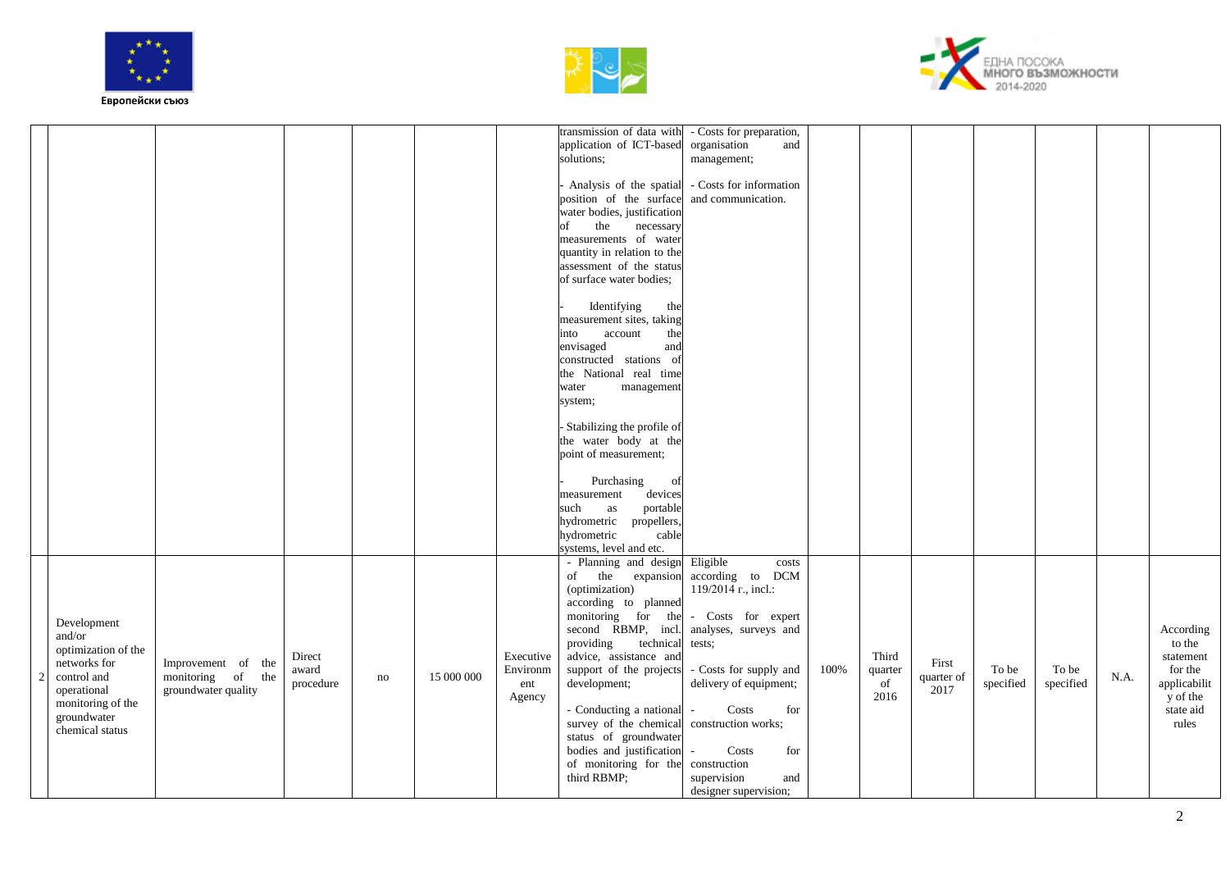





|                                                                                                                                                   |                                                                |                              |    |            |                                        | transmission of data with - Costs for preparation,<br>application of ICT-based<br>solutions;<br>Analysis of the spatial<br>position of the surface<br>water bodies, justification<br>the<br>of<br>necessary<br>measurements of water<br>quantity in relation to the<br>assessment of the status<br>of surface water bodies;<br>Identifying<br>the<br>measurement sites, taking<br>into<br>account<br>the<br>envisaged<br>and<br>constructed stations of<br>the National real time<br>management<br>water<br>system;<br>- Stabilizing the profile of<br>the water body at the<br>point of measurement;<br>Purchasing<br>of<br>devices<br>measurement<br>portable<br>such<br>as<br>hydrometric propellers, | organisation<br>and<br>management;<br>- Costs for information<br>and communication.                                                                                                                                                                                                                       |      |                                |                             |                    |                    |      |                                                                                               |
|---------------------------------------------------------------------------------------------------------------------------------------------------|----------------------------------------------------------------|------------------------------|----|------------|----------------------------------------|----------------------------------------------------------------------------------------------------------------------------------------------------------------------------------------------------------------------------------------------------------------------------------------------------------------------------------------------------------------------------------------------------------------------------------------------------------------------------------------------------------------------------------------------------------------------------------------------------------------------------------------------------------------------------------------------------------|-----------------------------------------------------------------------------------------------------------------------------------------------------------------------------------------------------------------------------------------------------------------------------------------------------------|------|--------------------------------|-----------------------------|--------------------|--------------------|------|-----------------------------------------------------------------------------------------------|
| Development<br>and/or<br>optimization of the<br>networks for<br>control and<br>operational<br>monitoring of the<br>groundwater<br>chemical status | Improvement of the<br>monitoring of the<br>groundwater quality | Direct<br>award<br>procedure | no | 15 000 000 | Executive<br>Environm<br>ent<br>Agency | cable<br>hydrometric<br>systems, level and etc.<br>- Planning and design<br>of the<br>(optimization)<br>according to planned<br>monitoring for the<br>second RBMP, incl.<br>providing<br>technical<br>advice, assistance and<br>support of the projects<br>development;<br>- Conducting a national -<br>survey of the chemical<br>status of groundwater<br>bodies and justification<br>of monitoring for the<br>third RBMP;                                                                                                                                                                                                                                                                              | Eligible<br>costs<br>expansion according to DCM<br>119/2014 r., incl.:<br>- Costs for expert<br>analyses, surveys and<br>tests:<br>- Costs for supply and<br>delivery of equipment;<br>Costs<br>for<br>construction works;<br>Costs<br>for<br>construction<br>supervision<br>and<br>designer supervision; | 100% | Third<br>quarter<br>of<br>2016 | First<br>quarter of<br>2017 | To be<br>specified | To be<br>specified | N.A. | According<br>to the<br>statement<br>for the<br>applicabilit<br>y of the<br>state aid<br>rules |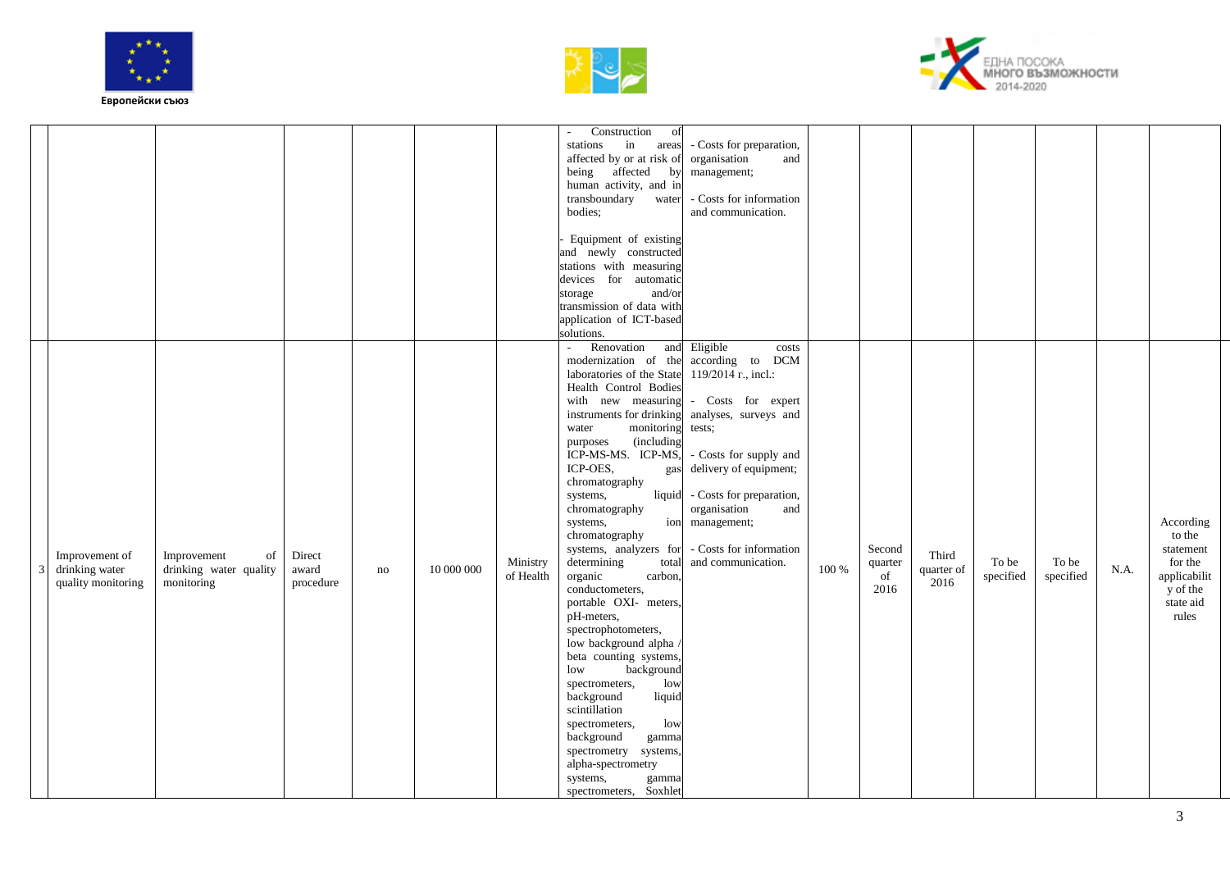





|                                                        |                                                           |                              |    |            |                       | Construction                                                                                                                                                                                                                                                                                                                                                                                                                                                                                                                                                                                                                                                                                                                                                                    |                                                                                                                                                                                                                                                                                                                |       |                                 |                             |                    |                    |      |                                                                                               |
|--------------------------------------------------------|-----------------------------------------------------------|------------------------------|----|------------|-----------------------|---------------------------------------------------------------------------------------------------------------------------------------------------------------------------------------------------------------------------------------------------------------------------------------------------------------------------------------------------------------------------------------------------------------------------------------------------------------------------------------------------------------------------------------------------------------------------------------------------------------------------------------------------------------------------------------------------------------------------------------------------------------------------------|----------------------------------------------------------------------------------------------------------------------------------------------------------------------------------------------------------------------------------------------------------------------------------------------------------------|-------|---------------------------------|-----------------------------|--------------------|--------------------|------|-----------------------------------------------------------------------------------------------|
|                                                        |                                                           |                              |    |            |                       | of<br>$\sim$<br>in<br>stations<br>areas<br>affected by or at risk of<br>being affected<br>by<br>human activity, and in<br>transboundary<br>water<br>bodies:<br>Equipment of existing                                                                                                                                                                                                                                                                                                                                                                                                                                                                                                                                                                                            | - Costs for preparation,<br>organisation<br>and<br>management;<br>- Costs for information<br>and communication.                                                                                                                                                                                                |       |                                 |                             |                    |                    |      |                                                                                               |
|                                                        |                                                           |                              |    |            |                       | and newly constructed<br>stations with measuring<br>devices for automatic<br>and/or<br>storage<br>transmission of data with<br>application of ICT-based<br>solutions.                                                                                                                                                                                                                                                                                                                                                                                                                                                                                                                                                                                                           |                                                                                                                                                                                                                                                                                                                |       |                                 |                             |                    |                    |      |                                                                                               |
| Improvement of<br>drinking water<br>quality monitoring | of<br>Improvement<br>drinking water quality<br>monitoring | Direct<br>award<br>procedure | no | 10 000 000 | Ministry<br>of Health | Renovation<br>modernization of the<br>laboratories of the State<br>Health Control Bodies<br>with new measuring<br>instruments for drinking<br>monitoring<br>water<br>(including<br>purposes<br>ICP-MS-MS. ICP-MS,<br>ICP-OES,<br>gas<br>chromatography<br>liquid<br>systems,<br>chromatography<br>systems,<br>chromatography<br>systems, analyzers for<br>determining<br>total<br>organic<br>carbon.<br>conductometers,<br>portable OXI- meters,<br>pH-meters,<br>spectrophotometers,<br>low background alpha<br>beta counting systems,<br>background<br>low<br>10W<br>spectrometers,<br>background<br>liquid<br>scintillation<br>low<br>spectrometers,<br>background<br>gamma<br>spectrometry<br>systems,<br>alpha-spectrometry<br>systems,<br>gamma<br>spectrometers, Soxhlet | and Eligible<br>costs<br>according to<br><b>DCM</b><br>119/2014 r., incl.:<br>- Costs for expert<br>analyses, surveys and<br>tests;<br>- Costs for supply and<br>delivery of equipment;<br>- Costs for preparation,<br>organisation<br>and<br>ion management;<br>- Costs for information<br>and communication. | 100 % | Second<br>quarter<br>of<br>2016 | Third<br>quarter of<br>2016 | To be<br>specified | To be<br>specified | N.A. | According<br>to the<br>statement<br>for the<br>applicabilit<br>y of the<br>state aid<br>rules |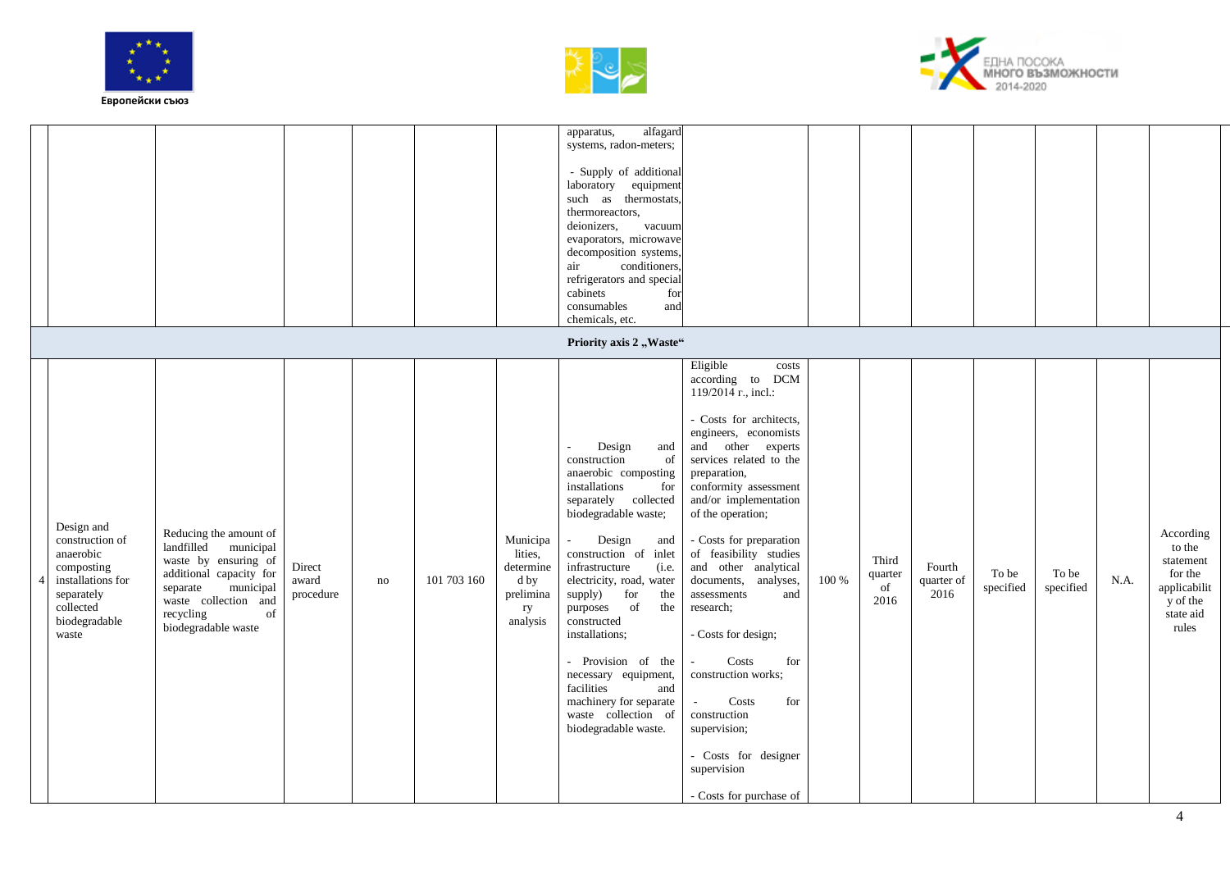![](_page_3_Picture_0.jpeg)

![](_page_3_Picture_1.jpeg)

![](_page_3_Picture_2.jpeg)

|                                                                                                                                    |                                                                                                                                                                                                 |                              |    |             |                                                                         | alfagard<br>apparatus,<br>systems, radon-meters;<br>- Supply of additional<br>laboratory equipment<br>such as thermostats,<br>thermoreactors,<br>deionizers,<br>vacuum<br>evaporators, microwave<br>decomposition systems,<br>conditioners,<br>air<br>refrigerators and special<br>cabinets<br>for                                                                                                                                                                                       |                                                                                                                                                                                                                                                                                                                                                                                                                                                                                                                                   |       |                                |                              |                    |                    |      |                                                                                               |
|------------------------------------------------------------------------------------------------------------------------------------|-------------------------------------------------------------------------------------------------------------------------------------------------------------------------------------------------|------------------------------|----|-------------|-------------------------------------------------------------------------|------------------------------------------------------------------------------------------------------------------------------------------------------------------------------------------------------------------------------------------------------------------------------------------------------------------------------------------------------------------------------------------------------------------------------------------------------------------------------------------|-----------------------------------------------------------------------------------------------------------------------------------------------------------------------------------------------------------------------------------------------------------------------------------------------------------------------------------------------------------------------------------------------------------------------------------------------------------------------------------------------------------------------------------|-------|--------------------------------|------------------------------|--------------------|--------------------|------|-----------------------------------------------------------------------------------------------|
|                                                                                                                                    |                                                                                                                                                                                                 |                              |    |             |                                                                         | consumables<br>and<br>chemicals, etc.                                                                                                                                                                                                                                                                                                                                                                                                                                                    |                                                                                                                                                                                                                                                                                                                                                                                                                                                                                                                                   |       |                                |                              |                    |                    |      |                                                                                               |
| Design and<br>construction of<br>anaerobic<br>composting<br>installations for<br>separately<br>collected<br>biodegradable<br>waste | Reducing the amount of<br>landfilled<br>municipal<br>waste by ensuring of<br>additional capacity for<br>municipal<br>separate<br>waste collection and<br>recycling<br>of<br>biodegradable waste | Direct<br>award<br>procedure | no | 101 703 160 | Municipa<br>lities,<br>determine<br>d by<br>prelimina<br>ry<br>analysis | Priority axis 2, Waste"<br>Design<br>and<br>construction<br>of<br>anaerobic composting<br>installations<br>for<br>separately collected<br>biodegradable waste;<br>Design<br>and<br>construction of inlet<br>infrastructure<br>(i.e.<br>electricity, road, water<br>supply) for<br>the<br>purposes of<br>the<br>constructed<br>installations;<br>- Provision of the<br>necessary equipment,<br>facilities<br>and<br>machinery for separate<br>waste collection of<br>biodegradable waste. | Eligible<br>costs<br>according to<br><b>DCM</b><br>119/2014 r., incl.:<br>- Costs for architects,<br>engineers, economists<br>and other experts<br>services related to the<br>preparation,<br>conformity assessment<br>and/or implementation<br>of the operation;<br>- Costs for preparation<br>of feasibility studies<br>and other analytical<br>documents, analyses,<br>assessments<br>and<br>research;<br>- Costs for design;<br>Costs<br>for<br>construction works;<br>Costs<br>for<br>$\sim$<br>construction<br>supervision; | 100 % | Third<br>quarter<br>of<br>2016 | Fourth<br>quarter of<br>2016 | To be<br>specified | To be<br>specified | N.A. | According<br>to the<br>statement<br>for the<br>applicabilit<br>y of the<br>state aid<br>rules |
|                                                                                                                                    |                                                                                                                                                                                                 |                              |    |             |                                                                         |                                                                                                                                                                                                                                                                                                                                                                                                                                                                                          | - Costs for designer<br>supervision<br>- Costs for purchase of                                                                                                                                                                                                                                                                                                                                                                                                                                                                    |       |                                |                              |                    |                    |      |                                                                                               |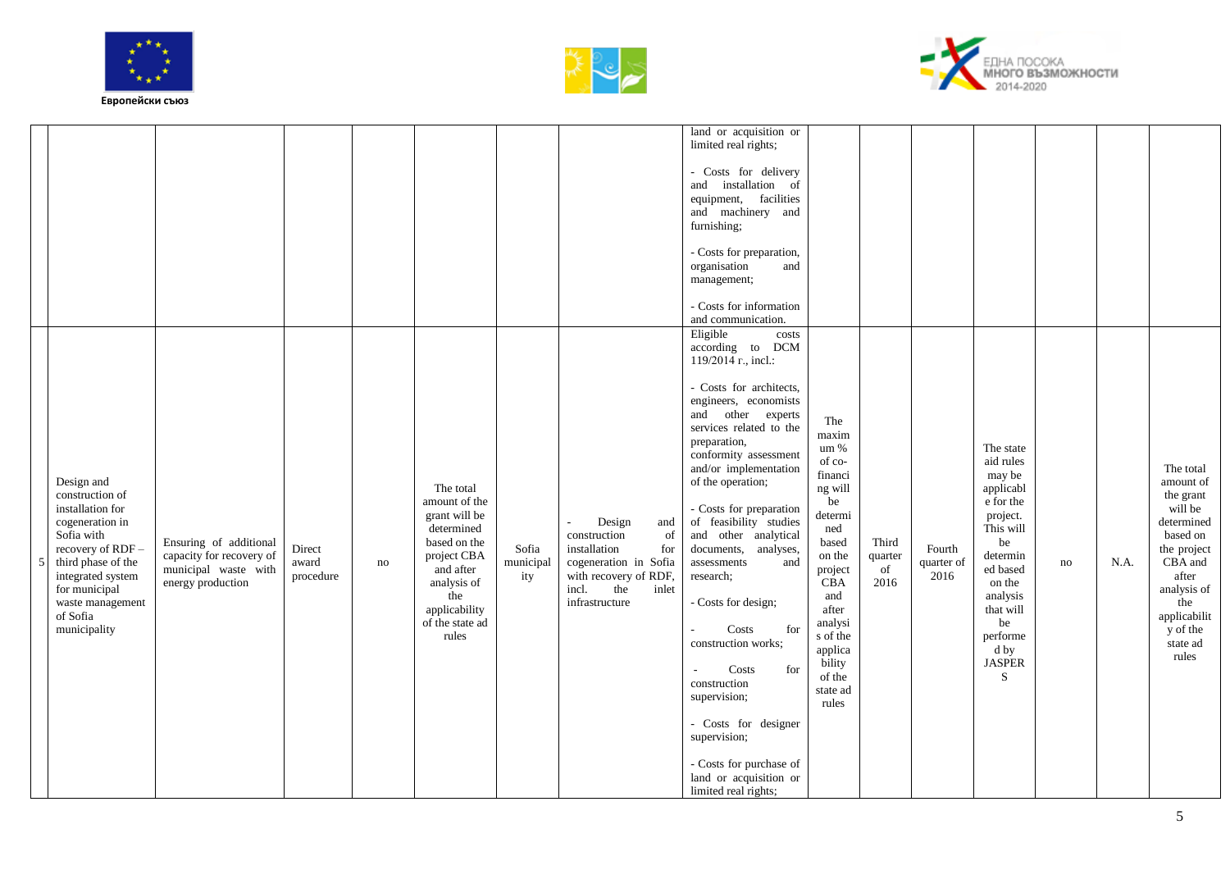![](_page_4_Picture_0.jpeg)

![](_page_4_Picture_1.jpeg)

![](_page_4_Picture_2.jpeg)

|                                                                                                                                                                                                                    |                                                                                                 |                              |    |                                                                                                                                                                          |                           |                                                                                                                                                         | land or acquisition or<br>limited real rights;<br>- Costs for delivery<br>installation of<br>and<br>equipment, facilities<br>and machinery and<br>furnishing;<br>- Costs for preparation,<br>organisation<br>and<br>management;<br>- Costs for information<br>and communication.                                                                                                                                                                                                                                                                                                                                                                     |                                                                                                                                                                                                              |                                |                              |                                                                                                                                                                                                      |    |      |                                                                                                                                                                                    |
|--------------------------------------------------------------------------------------------------------------------------------------------------------------------------------------------------------------------|-------------------------------------------------------------------------------------------------|------------------------------|----|--------------------------------------------------------------------------------------------------------------------------------------------------------------------------|---------------------------|---------------------------------------------------------------------------------------------------------------------------------------------------------|------------------------------------------------------------------------------------------------------------------------------------------------------------------------------------------------------------------------------------------------------------------------------------------------------------------------------------------------------------------------------------------------------------------------------------------------------------------------------------------------------------------------------------------------------------------------------------------------------------------------------------------------------|--------------------------------------------------------------------------------------------------------------------------------------------------------------------------------------------------------------|--------------------------------|------------------------------|------------------------------------------------------------------------------------------------------------------------------------------------------------------------------------------------------|----|------|------------------------------------------------------------------------------------------------------------------------------------------------------------------------------------|
| Design and<br>construction of<br>installation for<br>cogeneration in<br>Sofia with<br>recovery of RDF-<br>third phase of the<br>integrated system<br>for municipal<br>waste management<br>of Sofia<br>municipality | Ensuring of additional<br>capacity for recovery of<br>municipal waste with<br>energy production | Direct<br>award<br>procedure | no | The total<br>amount of the<br>grant will be<br>determined<br>based on the<br>project CBA<br>and after<br>analysis of<br>the<br>applicability<br>of the state ad<br>rules | Sofia<br>municipal<br>ity | Design<br>and<br>construction<br>of<br>installation<br>for<br>cogeneration in Sofia<br>with recovery of RDF,<br>incl.<br>the<br>inlet<br>infrastructure | Eligible<br>costs<br>according to DCM<br>119/2014 r., incl.:<br>- Costs for architects,<br>engineers, economists<br>and other experts<br>services related to the<br>preparation,<br>conformity assessment<br>and/or implementation<br>of the operation;<br>- Costs for preparation<br>of feasibility studies<br>and other analytical<br>documents, analyses,<br>assessments<br>and<br>research;<br>- Costs for design;<br>Costs<br>for<br>construction works;<br>Costs<br>for<br>$\overline{a}$<br>construction<br>supervision;<br>- Costs for designer<br>supervision;<br>- Costs for purchase of<br>land or acquisition or<br>limited real rights; | The<br>maxim<br>um %<br>of co-<br>financi<br>ng will<br>be<br>determi<br>ned<br>based<br>on the<br>project<br>CBA<br>and<br>after<br>analysi<br>s of the<br>applica<br>bility<br>of the<br>state ad<br>rules | Third<br>quarter<br>of<br>2016 | Fourth<br>quarter of<br>2016 | The state<br>aid rules<br>may be<br>applicabl<br>e for the<br>project.<br>This will<br>be<br>determin<br>ed based<br>on the<br>analysis<br>that will<br>be<br>performe<br>d by<br><b>JASPER</b><br>S | no | N.A. | The total<br>amount of<br>the grant<br>will be<br>determined<br>based on<br>the project<br>CBA and<br>after<br>analysis of<br>the<br>applicabilit<br>y of the<br>state ad<br>rules |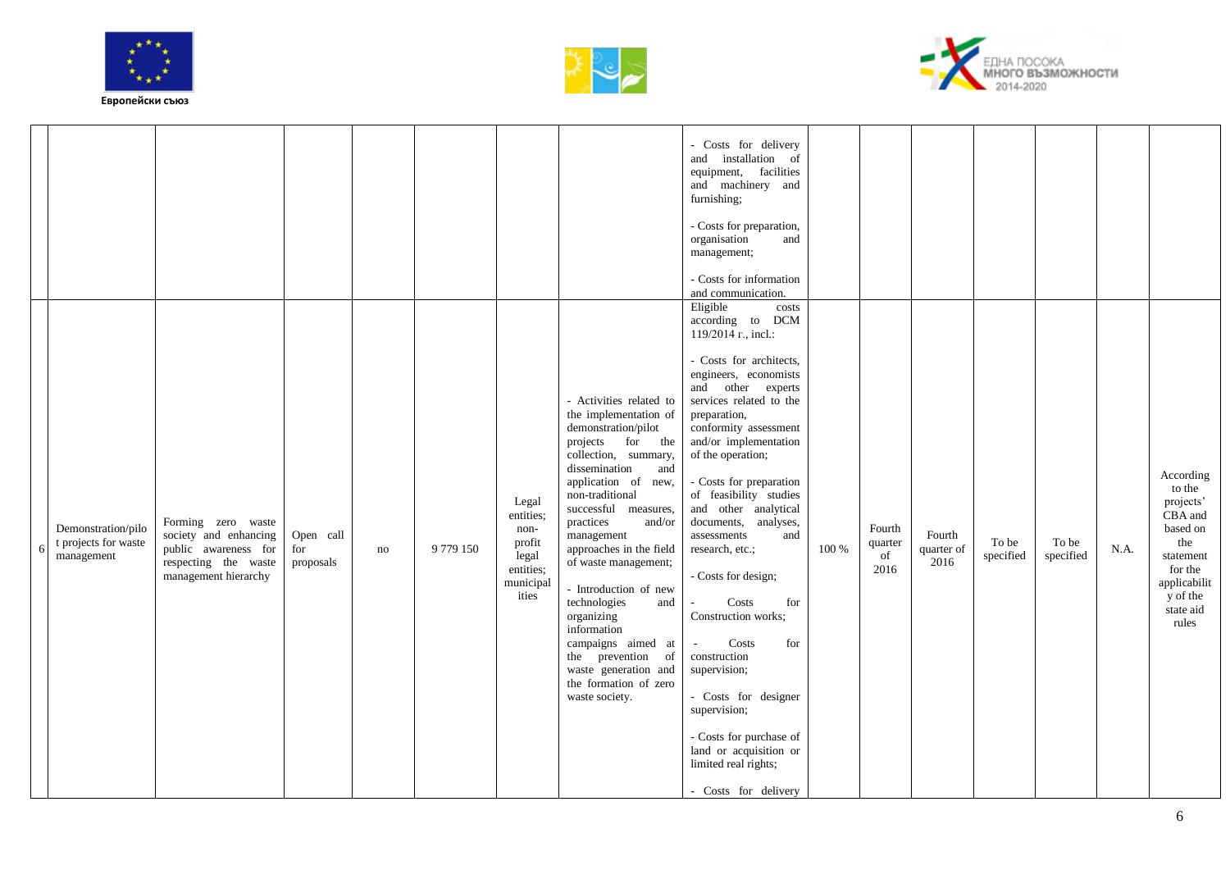![](_page_5_Picture_0.jpeg)

![](_page_5_Picture_1.jpeg)

![](_page_5_Picture_2.jpeg)

|    |                                                          |                                                                                                                     |                               |    |         |                                                                                  |                                                                                                                                                                                                                                                                                                                                                                                                                                                                                                     | - Costs for delivery<br>and installation of<br>equipment, facilities<br>and machinery and<br>furnishing;<br>- Costs for preparation,<br>organisation<br>and<br>management;<br>- Costs for information<br>and communication.                                                                                                                                                                                                                                                                                                                                                                                                                                      |       |                                 |                              |                    |                    |      |                                                                                                                                          |
|----|----------------------------------------------------------|---------------------------------------------------------------------------------------------------------------------|-------------------------------|----|---------|----------------------------------------------------------------------------------|-----------------------------------------------------------------------------------------------------------------------------------------------------------------------------------------------------------------------------------------------------------------------------------------------------------------------------------------------------------------------------------------------------------------------------------------------------------------------------------------------------|------------------------------------------------------------------------------------------------------------------------------------------------------------------------------------------------------------------------------------------------------------------------------------------------------------------------------------------------------------------------------------------------------------------------------------------------------------------------------------------------------------------------------------------------------------------------------------------------------------------------------------------------------------------|-------|---------------------------------|------------------------------|--------------------|--------------------|------|------------------------------------------------------------------------------------------------------------------------------------------|
| -6 | Demonstration/pilo<br>t projects for waste<br>management | Forming zero waste<br>society and enhancing<br>public awareness for<br>respecting the waste<br>management hierarchy | Open call<br>for<br>proposals | no | 9779150 | Legal<br>entities;<br>non-<br>profit<br>legal<br>entities;<br>municipal<br>ities | - Activities related to<br>the implementation of<br>demonstration/pilot<br>projects<br>for the<br>collection, summary,<br>dissemination<br>and<br>application of new,<br>non-traditional<br>successful measures,<br>practices<br>and/or<br>management<br>approaches in the field<br>of waste management;<br>- Introduction of new<br>technologies<br>and<br>organizing<br>information<br>campaigns aimed at<br>the prevention of<br>waste generation and<br>the formation of zero<br>waste society. | Eligible<br>costs<br>according to DCM<br>119/2014 r., incl.:<br>- Costs for architects,<br>engineers, economists<br>and other experts<br>services related to the<br>preparation,<br>conformity assessment<br>and/or implementation<br>of the operation;<br>- Costs for preparation<br>of feasibility studies<br>and other analytical<br>documents, analyses,<br>assessments<br>and<br>research, etc.;<br>- Costs for design;<br>Costs<br>for<br>Construction works;<br>Costs<br>for<br>construction<br>supervision;<br>- Costs for designer<br>supervision;<br>- Costs for purchase of<br>land or acquisition or<br>limited real rights;<br>- Costs for delivery | 100 % | Fourth<br>quarter<br>of<br>2016 | Fourth<br>quarter of<br>2016 | To be<br>specified | To be<br>specified | N.A. | According<br>to the<br>projects'<br>CBA and<br>based on<br>the<br>statement<br>for the<br>applicabilit<br>y of the<br>state aid<br>rules |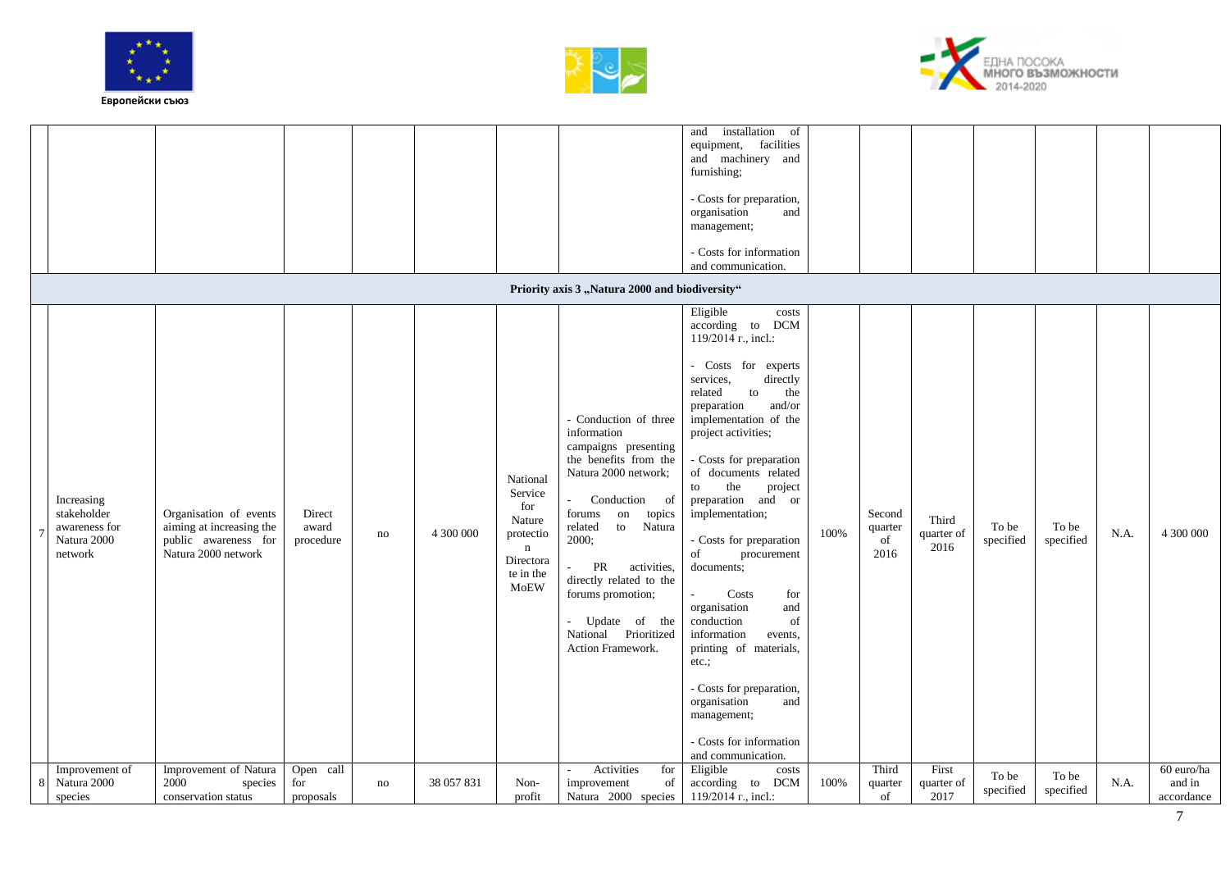![](_page_6_Picture_0.jpeg)

![](_page_6_Picture_1.jpeg)

![](_page_6_Picture_2.jpeg)

|                                                                      |                                                                                                   |                               |    |            |                                                                                                           | Priority axis 3 "Natura 2000 and biodiversity"                                                                                                                                                                                                                                                                                     | installation<br>of<br>and<br>equipment, facilities<br>and machinery and<br>furnishing;<br>- Costs for preparation,<br>organisation<br>and<br>management;<br>- Costs for information<br>and communication.                                                                                                                                                                                                                                                                                                                                                                                                                                |      |                                 |                             |                    |                    |      |                                    |
|----------------------------------------------------------------------|---------------------------------------------------------------------------------------------------|-------------------------------|----|------------|-----------------------------------------------------------------------------------------------------------|------------------------------------------------------------------------------------------------------------------------------------------------------------------------------------------------------------------------------------------------------------------------------------------------------------------------------------|------------------------------------------------------------------------------------------------------------------------------------------------------------------------------------------------------------------------------------------------------------------------------------------------------------------------------------------------------------------------------------------------------------------------------------------------------------------------------------------------------------------------------------------------------------------------------------------------------------------------------------------|------|---------------------------------|-----------------------------|--------------------|--------------------|------|------------------------------------|
| Increasing<br>stakeholder<br>awareness for<br>Natura 2000<br>network | Organisation of events<br>aiming at increasing the<br>public awareness for<br>Natura 2000 network | Direct<br>award<br>procedure  | no | 4 300 000  | National<br>Service<br>for<br>Nature<br>protectio<br>$\mathbf n$<br>Directora<br>te in the<br><b>MoEW</b> | - Conduction of three<br>information<br>campaigns presenting<br>the benefits from the<br>Natura 2000 network;<br>Conduction<br>of<br>forums<br>on<br>topics<br>Natura<br>related<br>to<br>2000;<br>activities,<br>PR<br>directly related to the<br>forums promotion;<br>Update of the<br>National Prioritized<br>Action Framework. | Eligible<br>costs<br>according to DCM<br>119/2014 r., incl.:<br>Costs for experts<br>services,<br>directly<br>related<br>to<br>the<br>and/or<br>preparation<br>implementation of the<br>project activities;<br>- Costs for preparation<br>of documents related<br>the<br>project<br>to<br>preparation and or<br>implementation;<br>- Costs for preparation<br>of<br>procurement<br>documents;<br>Costs<br>for<br>organisation<br>and<br>conduction<br>of<br>information<br>events,<br>printing of materials,<br>etc.;<br>- Costs for preparation,<br>organisation<br>and<br>management;<br>- Costs for information<br>and communication. | 100% | Second<br>quarter<br>of<br>2016 | Third<br>quarter of<br>2016 | To be<br>specified | To be<br>specified | N.A. | 4 300 000                          |
| Improvement of<br>Natura 2000<br>8<br>species                        | Improvement of Natura<br>2000<br>species<br>conservation status                                   | Open call<br>for<br>proposals | no | 38 057 831 | Non-<br>profit                                                                                            | Activities<br>for<br>improvement<br>of<br>Natura 2000 species   119/2014 $r1$ , incl.:                                                                                                                                                                                                                                             | Eligible<br>costs<br>according to DCM                                                                                                                                                                                                                                                                                                                                                                                                                                                                                                                                                                                                    | 100% | Third<br>quarter<br>of          | First<br>quarter of<br>2017 | To be<br>specified | To be<br>specified | N.A. | 60 euro/ha<br>and in<br>accordance |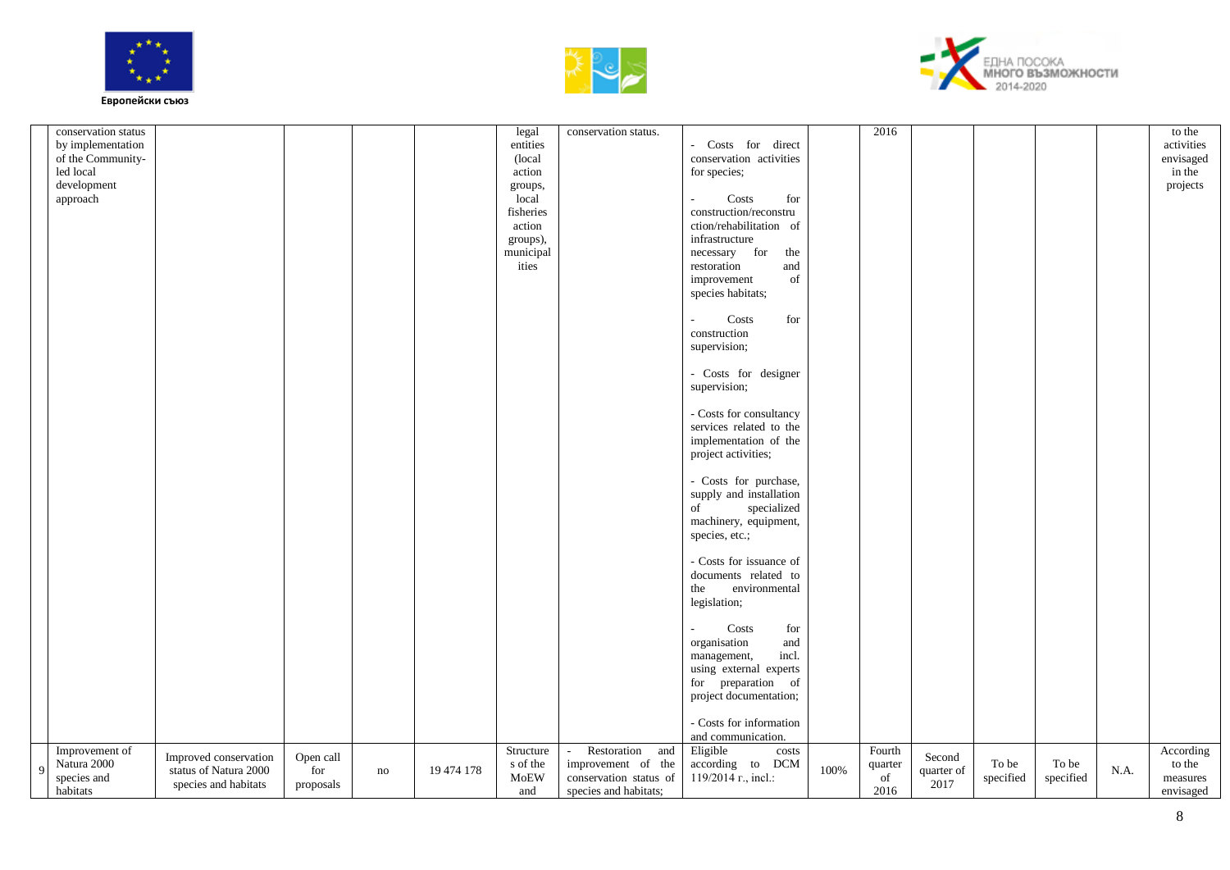![](_page_7_Picture_0.jpeg)

![](_page_7_Picture_1.jpeg)

![](_page_7_Picture_2.jpeg)

|              | conservation status |                       |           |    |            | legal     | conservation status.   |                                              |      | 2016    |            |           |               |      | to the     |
|--------------|---------------------|-----------------------|-----------|----|------------|-----------|------------------------|----------------------------------------------|------|---------|------------|-----------|---------------|------|------------|
|              |                     |                       |           |    |            |           |                        |                                              |      |         |            |           |               |      |            |
|              | by implementation   |                       |           |    |            | entities  |                        | Costs for direct<br>$\overline{\phantom{0}}$ |      |         |            |           |               |      | activities |
|              | of the Community-   |                       |           |    |            | (local    |                        | conservation activities                      |      |         |            |           |               |      | envisaged  |
|              | led local           |                       |           |    |            | action    |                        | for species;                                 |      |         |            |           |               |      | in the     |
|              | development         |                       |           |    |            | groups,   |                        |                                              |      |         |            |           |               |      | projects   |
|              | approach            |                       |           |    |            | local     |                        | Costs<br>for                                 |      |         |            |           |               |      |            |
|              |                     |                       |           |    |            | fisheries |                        | construction/reconstru                       |      |         |            |           |               |      |            |
|              |                     |                       |           |    |            | action    |                        | ction/rehabilitation of                      |      |         |            |           |               |      |            |
|              |                     |                       |           |    |            | groups),  |                        | infrastructure                               |      |         |            |           |               |      |            |
|              |                     |                       |           |    |            | municipal |                        | necessary for<br>the                         |      |         |            |           |               |      |            |
|              |                     |                       |           |    |            | ities     |                        | restoration<br>and                           |      |         |            |           |               |      |            |
|              |                     |                       |           |    |            |           |                        | of<br>improvement                            |      |         |            |           |               |      |            |
|              |                     |                       |           |    |            |           |                        | species habitats;                            |      |         |            |           |               |      |            |
|              |                     |                       |           |    |            |           |                        |                                              |      |         |            |           |               |      |            |
|              |                     |                       |           |    |            |           |                        | Costs<br>for                                 |      |         |            |           |               |      |            |
|              |                     |                       |           |    |            |           |                        | construction                                 |      |         |            |           |               |      |            |
|              |                     |                       |           |    |            |           |                        | supervision;                                 |      |         |            |           |               |      |            |
|              |                     |                       |           |    |            |           |                        |                                              |      |         |            |           |               |      |            |
|              |                     |                       |           |    |            |           |                        | - Costs for designer                         |      |         |            |           |               |      |            |
|              |                     |                       |           |    |            |           |                        | supervision;                                 |      |         |            |           |               |      |            |
|              |                     |                       |           |    |            |           |                        |                                              |      |         |            |           |               |      |            |
|              |                     |                       |           |    |            |           |                        | - Costs for consultancy                      |      |         |            |           |               |      |            |
|              |                     |                       |           |    |            |           |                        | services related to the                      |      |         |            |           |               |      |            |
|              |                     |                       |           |    |            |           |                        | implementation of the                        |      |         |            |           |               |      |            |
|              |                     |                       |           |    |            |           |                        | project activities;                          |      |         |            |           |               |      |            |
|              |                     |                       |           |    |            |           |                        |                                              |      |         |            |           |               |      |            |
|              |                     |                       |           |    |            |           |                        | - Costs for purchase,                        |      |         |            |           |               |      |            |
|              |                     |                       |           |    |            |           |                        | supply and installation                      |      |         |            |           |               |      |            |
|              |                     |                       |           |    |            |           |                        | specialized<br>of                            |      |         |            |           |               |      |            |
|              |                     |                       |           |    |            |           |                        |                                              |      |         |            |           |               |      |            |
|              |                     |                       |           |    |            |           |                        | machinery, equipment,                        |      |         |            |           |               |      |            |
|              |                     |                       |           |    |            |           |                        | species, etc.;                               |      |         |            |           |               |      |            |
|              |                     |                       |           |    |            |           |                        | - Costs for issuance of                      |      |         |            |           |               |      |            |
|              |                     |                       |           |    |            |           |                        |                                              |      |         |            |           |               |      |            |
|              |                     |                       |           |    |            |           |                        | documents related to                         |      |         |            |           |               |      |            |
|              |                     |                       |           |    |            |           |                        | the<br>environmental                         |      |         |            |           |               |      |            |
|              |                     |                       |           |    |            |           |                        | legislation;                                 |      |         |            |           |               |      |            |
|              |                     |                       |           |    |            |           |                        |                                              |      |         |            |           |               |      |            |
|              |                     |                       |           |    |            |           |                        | for<br>Costs                                 |      |         |            |           |               |      |            |
|              |                     |                       |           |    |            |           |                        | organisation<br>and                          |      |         |            |           |               |      |            |
|              |                     |                       |           |    |            |           |                        | incl.<br>management,                         |      |         |            |           |               |      |            |
|              |                     |                       |           |    |            |           |                        | using external experts                       |      |         |            |           |               |      |            |
|              |                     |                       |           |    |            |           |                        | for preparation of                           |      |         |            |           |               |      |            |
|              |                     |                       |           |    |            |           |                        | project documentation;                       |      |         |            |           |               |      |            |
|              |                     |                       |           |    |            |           |                        |                                              |      |         |            |           |               |      |            |
|              |                     |                       |           |    |            |           |                        | - Costs for information                      |      |         |            |           |               |      |            |
|              |                     |                       |           |    |            |           |                        | and communication.                           |      |         |            |           |               |      |            |
|              | Improvement of      | Improved conservation | Open call |    |            | Structure | Restoration<br>and     | Eligible<br>costs                            |      | Fourth  | Second     |           |               |      | According  |
| $\mathbf{q}$ | Natura 2000         | status of Natura 2000 | for       | no | 19 474 178 | s of the  | improvement of the     | according to DCM                             | 100% | quarter | quarter of | To be     | ${\rm To}$ be | N.A. | to the     |
|              | species and         | species and habitats  | proposals |    |            | MoEW      | conservation status of | 119/2014 r., incl.:                          |      | of      | 2017       | specified | specified     |      | measures   |
|              | habitats            |                       |           |    |            | and       | species and habitats;  |                                              |      | 2016    |            |           |               |      | envisaged  |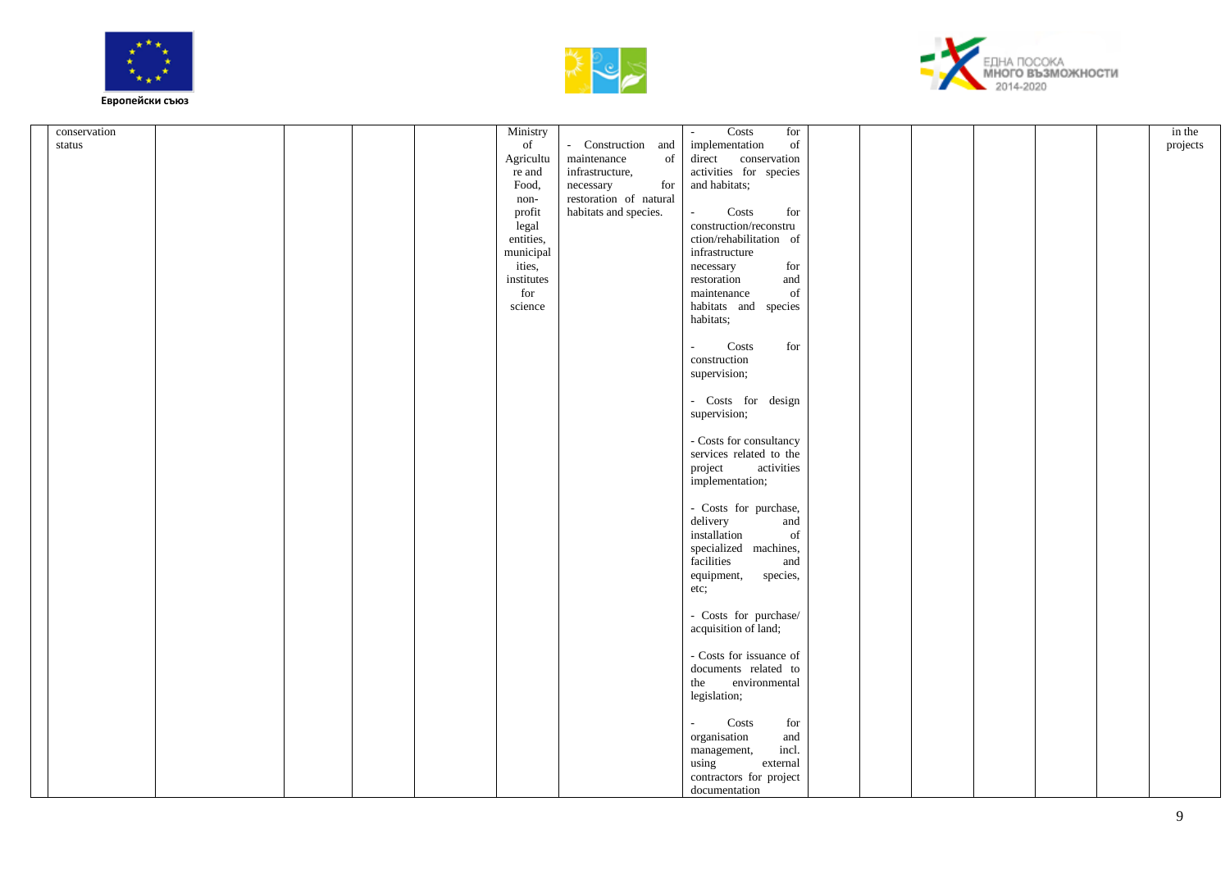![](_page_8_Picture_0.jpeg)

![](_page_8_Picture_1.jpeg)

![](_page_8_Picture_2.jpeg)

|              |  |  |                                                             |                                   | Costs<br>$\sim$                                                             |  |  |          |
|--------------|--|--|-------------------------------------------------------------|-----------------------------------|-----------------------------------------------------------------------------|--|--|----------|
| conservation |  |  | Ministry                                                    |                                   | for                                                                         |  |  | in the   |
| status       |  |  | $% \left( \left( \mathcal{A},\mathcal{A}\right) \right)$ of | Construction and                  | implementation<br>of                                                        |  |  | projects |
|              |  |  | Agricultu                                                   | maintenance<br>of                 | conservation<br>direct                                                      |  |  |          |
|              |  |  | re and                                                      | infrastructure,                   | activities for species                                                      |  |  |          |
|              |  |  | Food,                                                       | $\operatorname{for}$<br>necessary | and habitats;                                                               |  |  |          |
|              |  |  |                                                             | restoration of natural            |                                                                             |  |  |          |
|              |  |  | non-                                                        |                                   |                                                                             |  |  |          |
|              |  |  | profit                                                      | habitats and species.             | $\mathbf{Costs}$<br>for<br>$\mathcal{L}_{\mathcal{A}}$                      |  |  |          |
|              |  |  | legal                                                       |                                   | construction/reconstru                                                      |  |  |          |
|              |  |  | entities,                                                   |                                   | ction/rehabilitation of                                                     |  |  |          |
|              |  |  | municipal                                                   |                                   | infrastructure                                                              |  |  |          |
|              |  |  | ities,                                                      |                                   | for<br>necessary                                                            |  |  |          |
|              |  |  | institutes                                                  |                                   | restoration<br>and                                                          |  |  |          |
|              |  |  |                                                             |                                   |                                                                             |  |  |          |
|              |  |  | $\operatorname{for}$                                        |                                   | maintenance<br>of                                                           |  |  |          |
|              |  |  | science                                                     |                                   | habitats and species                                                        |  |  |          |
|              |  |  |                                                             |                                   | habitats;                                                                   |  |  |          |
|              |  |  |                                                             |                                   |                                                                             |  |  |          |
|              |  |  |                                                             |                                   | Costs<br>for<br>$\sim$                                                      |  |  |          |
|              |  |  |                                                             |                                   | construction                                                                |  |  |          |
|              |  |  |                                                             |                                   |                                                                             |  |  |          |
|              |  |  |                                                             |                                   | supervision;                                                                |  |  |          |
|              |  |  |                                                             |                                   |                                                                             |  |  |          |
|              |  |  |                                                             |                                   | - Costs for design                                                          |  |  |          |
|              |  |  |                                                             |                                   | supervision;                                                                |  |  |          |
|              |  |  |                                                             |                                   |                                                                             |  |  |          |
|              |  |  |                                                             |                                   | - Costs for consultancy                                                     |  |  |          |
|              |  |  |                                                             |                                   | services related to the                                                     |  |  |          |
|              |  |  |                                                             |                                   |                                                                             |  |  |          |
|              |  |  |                                                             |                                   | activities<br>project                                                       |  |  |          |
|              |  |  |                                                             |                                   | implementation;                                                             |  |  |          |
|              |  |  |                                                             |                                   |                                                                             |  |  |          |
|              |  |  |                                                             |                                   | - Costs for purchase,                                                       |  |  |          |
|              |  |  |                                                             |                                   | delivery<br>and                                                             |  |  |          |
|              |  |  |                                                             |                                   | installation<br>$% \left( \left( \mathcal{A},\mathcal{A}\right) \right)$ of |  |  |          |
|              |  |  |                                                             |                                   |                                                                             |  |  |          |
|              |  |  |                                                             |                                   | specialized machines,                                                       |  |  |          |
|              |  |  |                                                             |                                   | facilities<br>and                                                           |  |  |          |
|              |  |  |                                                             |                                   | equipment,<br>species,                                                      |  |  |          |
|              |  |  |                                                             |                                   | etc;                                                                        |  |  |          |
|              |  |  |                                                             |                                   |                                                                             |  |  |          |
|              |  |  |                                                             |                                   | - Costs for purchase/                                                       |  |  |          |
|              |  |  |                                                             |                                   | acquisition of land;                                                        |  |  |          |
|              |  |  |                                                             |                                   |                                                                             |  |  |          |
|              |  |  |                                                             |                                   |                                                                             |  |  |          |
|              |  |  |                                                             |                                   | - Costs for issuance of                                                     |  |  |          |
|              |  |  |                                                             |                                   | documents related to                                                        |  |  |          |
|              |  |  |                                                             |                                   | environmental<br>the                                                        |  |  |          |
|              |  |  |                                                             |                                   | legislation;                                                                |  |  |          |
|              |  |  |                                                             |                                   |                                                                             |  |  |          |
|              |  |  |                                                             |                                   |                                                                             |  |  |          |
|              |  |  |                                                             |                                   | Costs<br>$\operatorname{for}$<br>$\sim$                                     |  |  |          |
|              |  |  |                                                             |                                   | organisation<br>and                                                         |  |  |          |
|              |  |  |                                                             |                                   | incl.<br>management,                                                        |  |  |          |
|              |  |  |                                                             |                                   | using<br>external                                                           |  |  |          |
|              |  |  |                                                             |                                   | contractors for project                                                     |  |  |          |
|              |  |  |                                                             |                                   | documentation                                                               |  |  |          |
|              |  |  |                                                             |                                   |                                                                             |  |  |          |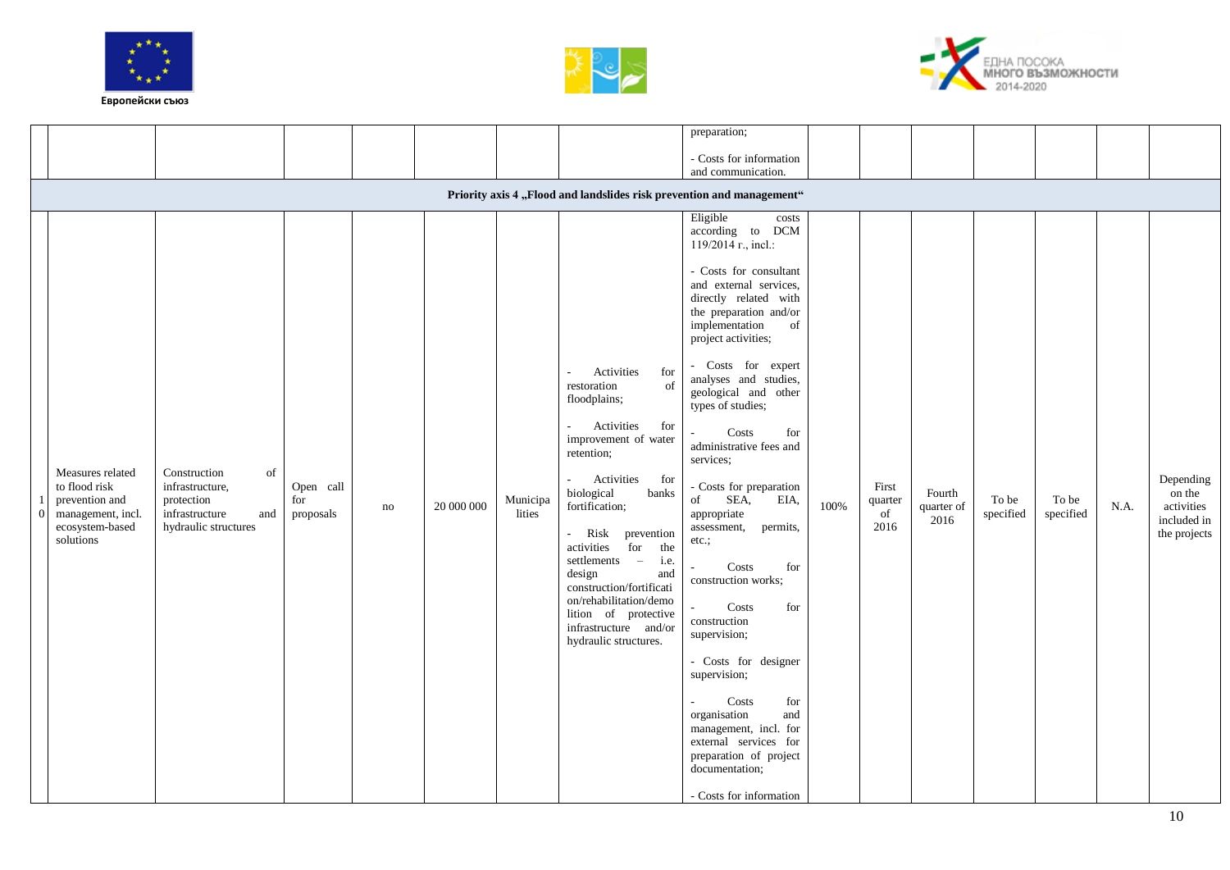![](_page_9_Picture_0.jpeg)

![](_page_9_Picture_1.jpeg)

![](_page_9_Picture_2.jpeg)

|            |                                                                                                          |                                                                                                      |                               |          |            |                    |                                                                                                                                                                                                                                                                                                                                                                                                                                           | preparation;                                                                                                                                                                                                                                                                                                                                                                                                                                                                                                                                                                                                                                                                                                                                                              |      |                                |                              |                    |                    |      |                                                                  |
|------------|----------------------------------------------------------------------------------------------------------|------------------------------------------------------------------------------------------------------|-------------------------------|----------|------------|--------------------|-------------------------------------------------------------------------------------------------------------------------------------------------------------------------------------------------------------------------------------------------------------------------------------------------------------------------------------------------------------------------------------------------------------------------------------------|---------------------------------------------------------------------------------------------------------------------------------------------------------------------------------------------------------------------------------------------------------------------------------------------------------------------------------------------------------------------------------------------------------------------------------------------------------------------------------------------------------------------------------------------------------------------------------------------------------------------------------------------------------------------------------------------------------------------------------------------------------------------------|------|--------------------------------|------------------------------|--------------------|--------------------|------|------------------------------------------------------------------|
|            |                                                                                                          |                                                                                                      |                               |          |            |                    |                                                                                                                                                                                                                                                                                                                                                                                                                                           | - Costs for information<br>and communication.                                                                                                                                                                                                                                                                                                                                                                                                                                                                                                                                                                                                                                                                                                                             |      |                                |                              |                    |                    |      |                                                                  |
|            |                                                                                                          |                                                                                                      |                               |          |            |                    |                                                                                                                                                                                                                                                                                                                                                                                                                                           | Priority axis 4 "Flood and landslides risk prevention and management"                                                                                                                                                                                                                                                                                                                                                                                                                                                                                                                                                                                                                                                                                                     |      |                                |                              |                    |                    |      |                                                                  |
| $\sqrt{ }$ | Measures related<br>to flood risk<br>prevention and<br>management, incl.<br>ecosystem-based<br>solutions | Construction<br>of<br>infrastructure,<br>protection<br>infrastructure<br>and<br>hydraulic structures | Open call<br>for<br>proposals | $\rm no$ | 20 000 000 | Municipa<br>lities | Activities<br>for<br>$\mathcal{L}_{\mathcal{A}}$<br>restoration<br>of<br>floodplains;<br>Activities<br>for<br>improvement of water<br>retention;<br>Activities<br>for<br>biological<br>banks<br>fortification;<br>- Risk prevention<br>activities<br>for<br>the<br>settlements –<br>i.e.<br>design<br>and<br>construction/fortificati<br>on/rehabilitation/demo<br>lition of protective<br>infrastructure and/or<br>hydraulic structures. | Eligible<br>costs<br>according to DCM<br>119/2014 r., incl.:<br>- Costs for consultant<br>and external services,<br>directly related with<br>the preparation and/or<br>implementation<br>of<br>project activities;<br>- Costs for expert<br>analyses and studies,<br>geological and other<br>types of studies;<br>Costs<br>for<br>administrative fees and<br>services:<br>- Costs for preparation<br>SEA,<br>EIA,<br>of<br>appropriate<br>assessment,<br>permits,<br>etc.;<br>Costs<br>for<br>construction works;<br>Costs<br>for<br>construction<br>supervision;<br>- Costs for designer<br>supervision;<br>Costs<br>for<br>organisation<br>and<br>management, incl. for<br>external services for<br>preparation of project<br>documentation;<br>- Costs for information | 100% | First<br>quarter<br>of<br>2016 | Fourth<br>quarter of<br>2016 | To be<br>specified | To be<br>specified | N.A. | Depending<br>on the<br>activities<br>included in<br>the projects |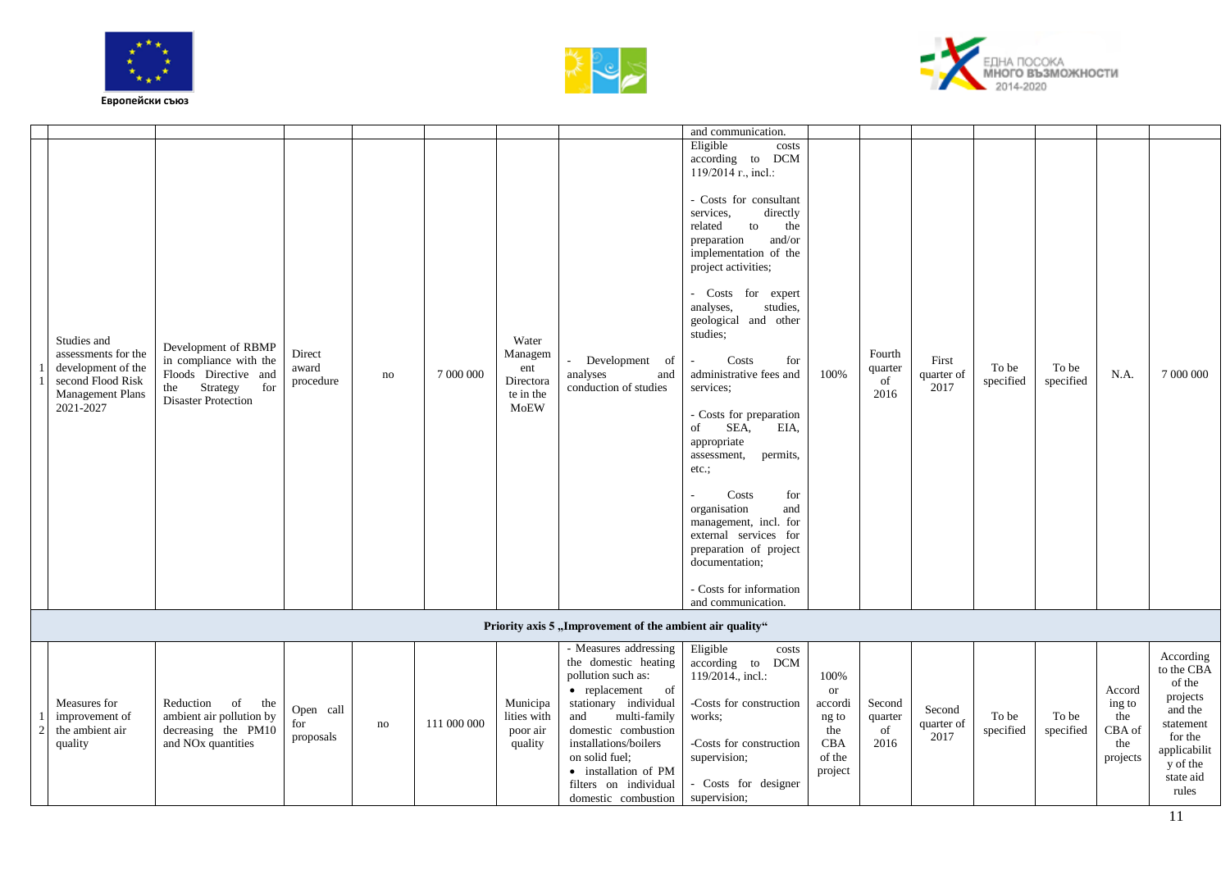![](_page_10_Picture_0.jpeg)

1 2

![](_page_10_Picture_1.jpeg)

![](_page_10_Picture_2.jpeg)

|                                                                                                                |                                                                                                                               |                              |    |           |                                                           |                                                                                         | and communication.                                                                                                                                                                                                                                                                                                                                                                                                                                                                                                                                                                                                                                                                   |                   |                                 |                             |                    |                    |        |                                               |
|----------------------------------------------------------------------------------------------------------------|-------------------------------------------------------------------------------------------------------------------------------|------------------------------|----|-----------|-----------------------------------------------------------|-----------------------------------------------------------------------------------------|--------------------------------------------------------------------------------------------------------------------------------------------------------------------------------------------------------------------------------------------------------------------------------------------------------------------------------------------------------------------------------------------------------------------------------------------------------------------------------------------------------------------------------------------------------------------------------------------------------------------------------------------------------------------------------------|-------------------|---------------------------------|-----------------------------|--------------------|--------------------|--------|-----------------------------------------------|
| Studies and<br>assessments for the<br>development of the<br>second Flood Risk<br>Management Plans<br>2021-2027 | Development of RBMP<br>in compliance with the<br>Floods Directive and<br>Strategy<br>for<br>the<br><b>Disaster Protection</b> | Direct<br>award<br>procedure | no | 7 000 000 | Water<br>Managem<br>ent<br>Directora<br>te in the<br>MoEW | Development of<br>and<br>analyses<br>conduction of studies                              | Eligible<br>costs<br>according to DCM<br>$119/2014$ r., incl.:<br>- Costs for consultant<br>services,<br>directly<br>related<br>the<br>to<br>and/or<br>preparation<br>implementation of the<br>project activities;<br>- Costs for expert<br>analyses,<br>studies,<br>geological and other<br>studies:<br>Costs<br>for<br>$\sim$<br>administrative fees and<br>services;<br>- Costs for preparation<br>SEA,<br>EIA,<br>of<br>appropriate<br>permits,<br>assessment,<br>$etc.$ ;<br>Costs<br>for<br>$\mathbf{r}$<br>organisation<br>and<br>management, incl. for<br>external services for<br>preparation of project<br>documentation;<br>- Costs for information<br>and communication. | 100%              | Fourth<br>quarter<br>of<br>2016 | First<br>quarter of<br>2017 | To be<br>specified | To be<br>specified | N.A.   | 7 000 000                                     |
|                                                                                                                |                                                                                                                               |                              |    |           |                                                           | Priority axis 5, Improvement of the ambient air quality"                                |                                                                                                                                                                                                                                                                                                                                                                                                                                                                                                                                                                                                                                                                                      |                   |                                 |                             |                    |                    |        |                                               |
|                                                                                                                |                                                                                                                               |                              |    |           |                                                           | - Measures addressing<br>the domestic heating<br>pollution such as:<br>• replacement of | Eligible<br>costs<br>according to DCM<br>119/2014., incl.:                                                                                                                                                                                                                                                                                                                                                                                                                                                                                                                                                                                                                           | 100%<br><b>or</b> |                                 |                             |                    |                    | Accord | According<br>to the CBA<br>of the<br>projects |

| Measures for<br>improvement of<br>the ambient air<br>quality | Reduction<br>-of<br>the<br>ambient air pollution by<br>decreasing the PM10<br>and NO <sub>x</sub> quantities | Open call<br>proposals | no | 111 000 000 | Municipa<br>lities with<br>poor air<br>quality | of<br>replacement<br>individual<br>stationary<br>multi-family<br>and<br>domestic combustion<br>installations/boilers<br>on solid fuel;<br>installation of PM<br>filters on individual<br>domestic combustion | -Costs for construction<br>works:<br>-Costs for construction<br>supervision;<br>Costs for designer<br>supervision; | or<br>accordi<br>ng to<br>the<br><b>CBA</b><br>of the<br>project | Second<br>quarter<br>2016 | Second<br>quarter of<br>2017 | To be<br>specified | To be<br>specified | Accord<br>ing to<br>the<br>CBA of<br>the<br>projects | $\sigma$ and<br>projects<br>and the<br>statement<br>for the<br>applicabilit<br>y of the<br>state aid<br>rules |  |
|--------------------------------------------------------------|--------------------------------------------------------------------------------------------------------------|------------------------|----|-------------|------------------------------------------------|--------------------------------------------------------------------------------------------------------------------------------------------------------------------------------------------------------------|--------------------------------------------------------------------------------------------------------------------|------------------------------------------------------------------|---------------------------|------------------------------|--------------------|--------------------|------------------------------------------------------|---------------------------------------------------------------------------------------------------------------|--|
|                                                              |                                                                                                              |                        |    |             |                                                |                                                                                                                                                                                                              |                                                                                                                    |                                                                  |                           |                              |                    |                    |                                                      |                                                                                                               |  |